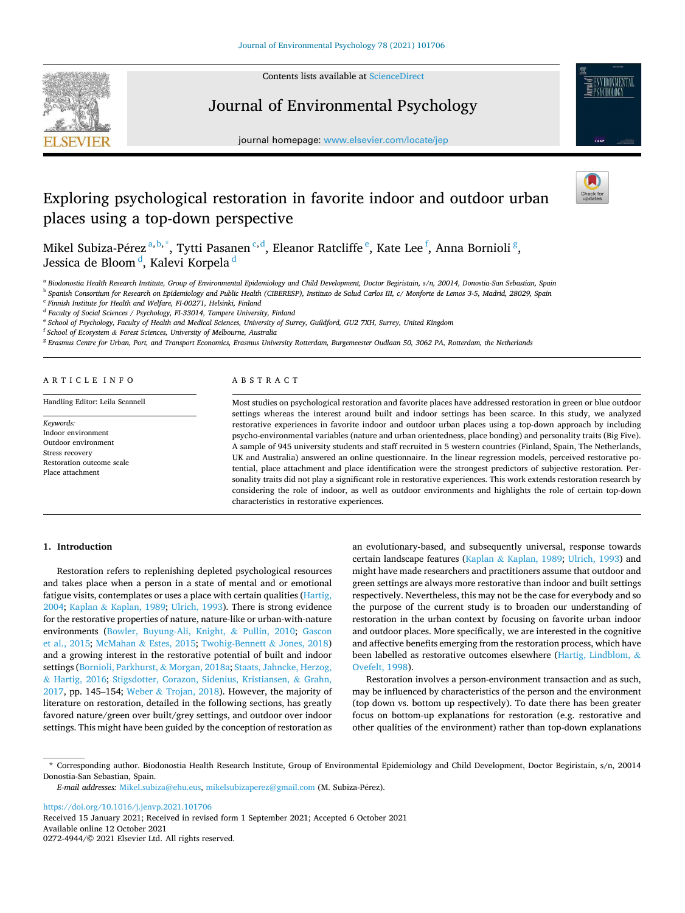

Contents lists available at [ScienceDirect](www.sciencedirect.com/science/journal/02724944)

# Journal of Environmental Psychology





# Exploring psychological restoration in favorite indoor and outdoor urban places using a top-down perspective



Mikel Subiza-Pérez $^{\mathrm{a,b,*}},$  Tytti Pasanen $^{\mathrm{c,d}},$  Eleanor Ratcliffe $^{\mathrm{e}},$  Kate Lee $^{\mathrm{f}},$  Anna Bornioli $^{\mathrm{g}},$ Jessica de Bloom<sup>d</sup>, Kalevi Korpela<sup>d</sup>

a *Biodonostia Health Research Institute, Group of Environmental Epidemiology and Child Development, Doctor Begiristain, s/n, 20014, Donostia-San Sebastian, Spain* 

b *Spanish Consortium for Research on Epidemiology and Public Health (CIBERESP), Instituto de Salud Carlos III, c/ Monforte de Lemos 3-5, Madrid, 28029, Spain* 

c *Finnish Institute for Health and Welfare, FI-00271, Helsinki, Finland* 

<sup>d</sup> Faculty of Social Sciences / Psychology, FI-33014, Tampere University, Finland

e *School of Psychology, Faculty of Health and Medical Sciences, University of Surrey, Guildford, GU2 7XH, Surrey, United Kingdom* 

f *School of Ecosystem & Forest Sciences, University of Melbourne, Australia* 

g *Erasmus Centre for Urban, Port, and Transport Economics, Erasmus University Rotterdam, Burgemeester Oudlaan 50, 3062 PA, Rotterdam, the Netherlands* 

## A R T I C L E I N F O

Handling Editor: Leila Scannell

*Keywords:*  Indoor environment Outdoor environment Stress recovery Restoration outcome scale Place attachment

# ABSTRACT

Most studies on psychological restoration and favorite places have addressed restoration in green or blue outdoor settings whereas the interest around built and indoor settings has been scarce. In this study, we analyzed restorative experiences in favorite indoor and outdoor urban places using a top-down approach by including psycho-environmental variables (nature and urban orientedness, place bonding) and personality traits (Big Five). A sample of 945 university students and staff recruited in 5 western countries (Finland, Spain, The Netherlands, UK and Australia) answered an online questionnaire. In the linear regression models, perceived restorative potential, place attachment and place identification were the strongest predictors of subjective restoration. Personality traits did not play a significant role in restorative experiences. This work extends restoration research by considering the role of indoor, as well as outdoor environments and highlights the role of certain top-down characteristics in restorative experiences.

#### **1. Introduction**

Restoration refers to replenishing depleted psychological resources and takes place when a person in a state of mental and or emotional fatigue visits, contemplates or uses a place with certain qualities [\(Hartig,](#page-7-0)  [2004;](#page-7-0) Kaplan & [Kaplan, 1989](#page-8-0); [Ulrich, 1993\)](#page-8-0). There is strong evidence for the restorative properties of nature, nature-like or urban-with-nature environments [\(Bowler, Buyung-Ali, Knight,](#page-7-0) & Pullin, 2010; [Gascon](#page-7-0)  [et al., 2015](#page-7-0); McMahan & [Estes, 2015](#page-8-0); [Twohig-Bennett](#page-8-0) & Jones, 2018) and a growing interest in the restorative potential of built and indoor settings ([Bornioli, Parkhurst,](#page-7-0) & Morgan, 2018a; [Staats, Jahncke, Herzog,](#page-8-0)  & [Hartig, 2016;](#page-8-0) [Stigsdotter, Corazon, Sidenius, Kristiansen,](#page-8-0) & Grahn, [2017,](#page-8-0) pp. 145–154; Weber & [Trojan, 2018\)](#page-8-0). However, the majority of literature on restoration, detailed in the following sections, has greatly favored nature/green over built/grey settings, and outdoor over indoor settings. This might have been guided by the conception of restoration as an evolutionary-based, and subsequently universal, response towards certain landscape features (Kaplan & [Kaplan, 1989;](#page-8-0) [Ulrich, 1993\)](#page-8-0) and might have made researchers and practitioners assume that outdoor and green settings are always more restorative than indoor and built settings respectively. Nevertheless, this may not be the case for everybody and so the purpose of the current study is to broaden our understanding of restoration in the urban context by focusing on favorite urban indoor and outdoor places. More specifically, we are interested in the cognitive and affective benefits emerging from the restoration process, which have been labelled as restorative outcomes elsewhere [\(Hartig, Lindblom,](#page-7-0) & [Ovefelt, 1998\)](#page-7-0).

Restoration involves a person-environment transaction and as such, may be influenced by characteristics of the person and the environment (top down vs. bottom up respectively). To date there has been greater focus on bottom-up explanations for restoration (e.g. restorative and other qualities of the environment) rather than top-down explanations

<https://doi.org/10.1016/j.jenvp.2021.101706>

Available online 12 October 2021 0272-4944/© 2021 Elsevier Ltd. All rights reserved. Received 15 January 2021; Received in revised form 1 September 2021; Accepted 6 October 2021

<sup>\*</sup> Corresponding author. Biodonostia Health Research Institute, Group of Environmental Epidemiology and Child Development, Doctor Begiristain, s/n, 20014 Donostia-San Sebastian, Spain.

*E-mail addresses: [Mikel.subiza@ehu.eus,](mailto:Mikel.subiza@ehu.eus) [mikelsubizaperez@gmail.com](mailto:mikelsubizaperez@gmail.com) (M. Subiza-Pérez).*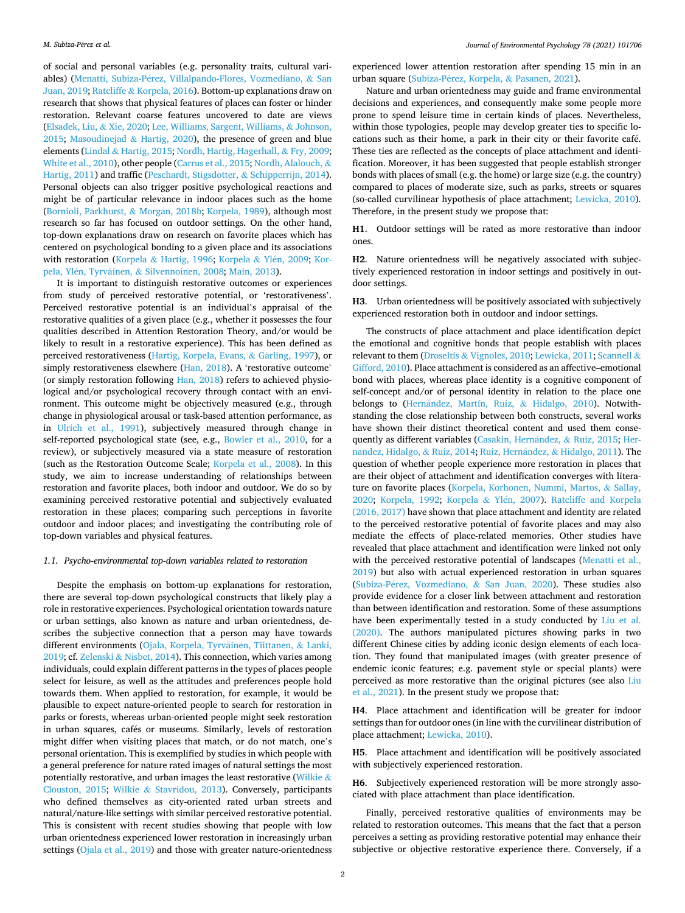of social and personal variables (e.g. personality traits, cultural variables) (Menatti, Subiza-Pérez, Villalpando-Flores, Vozmediano, & San [Juan, 2019](#page-8-0); Ratcliffe & [Korpela, 2016](#page-8-0)). Bottom-up explanations draw on research that shows that physical features of places can foster or hinder restoration. Relevant coarse features uncovered to date are views ([Elsadek, Liu,](#page-7-0) & Xie, 2020; [Lee, Williams, Sargent, Williams,](#page-8-0) & Johnson, [2015;](#page-8-0) [Masoudinejad](#page-8-0) & Hartig, 2020), the presence of green and blue elements (Lindal & [Hartig, 2015; Nordh, Hartig, Hagerhall,](#page-8-0) & Fry, 2009; [White et al., 2010\)](#page-8-0), other people [\(Carrus et al., 2015](#page-7-0); [Nordh, Alalouch,](#page-8-0) & [Hartig, 2011](#page-8-0)) and traffic ([Peschardt, Stigsdotter,](#page-8-0) & Schipperrijn, 2014). Personal objects can also trigger positive psychological reactions and might be of particular relevance in indoor places such as the home ([Bornioli, Parkhurst,](#page-7-0) & Morgan, 2018b; [Korpela, 1989](#page-8-0)), although most research so far has focused on outdoor settings. On the other hand, top-down explanations draw on research on favorite places which has centered on psychological bonding to a given place and its associations with restoration (Korpela & [Hartig, 1996](#page-8-0); Korpela & Ylén, 2009; [Kor-](#page-8-0)pela, Ylén, Tyrväinen, & [Silvennoinen, 2008; Main, 2013\)](#page-8-0).

It is important to distinguish restorative outcomes or experiences from study of perceived restorative potential, or 'restorativeness'. Perceived restorative potential is an individual's appraisal of the restorative qualities of a given place (e.g., whether it possesses the four qualities described in Attention Restoration Theory, and/or would be likely to result in a restorative experience). This has been defined as perceived restorativeness ([Hartig, Korpela, Evans,](#page-7-0) & Gärling, 1997), or simply restorativeness elsewhere ([Han, 2018](#page-7-0)). A 'restorative outcome' (or simply restoration following [Han, 2018](#page-7-0)) refers to achieved physiological and/or psychological recovery through contact with an environment. This outcome might be objectively measured (e.g., through change in physiological arousal or task-based attention performance, as in [Ulrich et al., 1991](#page-8-0)), subjectively measured through change in self-reported psychological state (see, e.g., [Bowler et al., 2010](#page-7-0), for a review), or subjectively measured via a state measure of restoration (such as the Restoration Outcome Scale; [Korpela et al., 2008](#page-8-0)). In this study, we aim to increase understanding of relationships between restoration and favorite places, both indoor and outdoor. We do so by examining perceived restorative potential and subjectively evaluated restoration in these places; comparing such perceptions in favorite outdoor and indoor places; and investigating the contributing role of top-down variables and physical features.

#### *1.1. Psycho-environmental top-down variables related to restoration*

Despite the emphasis on bottom-up explanations for restoration, there are several top-down psychological constructs that likely play a role in restorative experiences. Psychological orientation towards nature or urban settings, also known as nature and urban orientedness, describes the subjective connection that a person may have towards different environments (Ojala, Korpela, Tyrväinen, Tiittanen, & Lanki, [2019;](#page-8-0) cf. Zelenski & [Nisbet, 2014\)](#page-9-0). This connection, which varies among individuals, could explain different patterns in the types of places people select for leisure, as well as the attitudes and preferences people hold towards them. When applied to restoration, for example, it would be plausible to expect nature-oriented people to search for restoration in parks or forests, whereas urban-oriented people might seek restoration in urban squares, cafés or museums. Similarly, levels of restoration might differ when visiting places that match, or do not match, one's personal orientation. This is exemplified by studies in which people with a general preference for nature rated images of natural settings the most potentially restorative, and urban images the least restorative ([Wilkie](#page-9-0)  $\&$ [Clouston, 2015;](#page-9-0) Wilkie & [Stavridou, 2013](#page-9-0)). Conversely, participants who defined themselves as city-oriented rated urban streets and natural/nature-like settings with similar perceived restorative potential. This is consistent with recent studies showing that people with low urban orientedness experienced lower restoration in increasingly urban settings ([Ojala et al., 2019](#page-8-0)) and those with greater nature-orientedness

experienced lower attention restoration after spending 15 min in an urban square (Subiza-Pérez, Korpela, & [Pasanen, 2021\)](#page-8-0).

Nature and urban orientedness may guide and frame environmental decisions and experiences, and consequently make some people more prone to spend leisure time in certain kinds of places. Nevertheless, within those typologies, people may develop greater ties to specific locations such as their home, a park in their city or their favorite café. These ties are reflected as the concepts of place attachment and identification. Moreover, it has been suggested that people establish stronger bonds with places of small (e.g. the home) or large size (e.g. the country) compared to places of moderate size, such as parks, streets or squares (so-called curvilinear hypothesis of place attachment; [Lewicka, 2010](#page-8-0)). Therefore, in the present study we propose that:

**H1**. Outdoor settings will be rated as more restorative than indoor ones.

**H2**. Nature orientedness will be negatively associated with subjectively experienced restoration in indoor settings and positively in outdoor settings.

**H3**. Urban orientedness will be positively associated with subjectively experienced restoration both in outdoor and indoor settings.

The constructs of place attachment and place identification depict the emotional and cognitive bonds that people establish with places relevant to them (Droseltis & [Vignoles, 2010](#page-7-0); [Lewicka, 2011](#page-8-0); [Scannell](#page-8-0) & [Gifford, 2010\)](#page-8-0). Place attachment is considered as an affective–emotional bond with places, whereas place identity is a cognitive component of self-concept and/or of personal identity in relation to the place one belongs to (Hernández, Martín, Ruiz, & Hidalgo, 2010). Notwithstanding the close relationship between both constructs, several works have shown their distinct theoretical content and used them conse-quently as different variables [\(Casakin, Hern](#page-7-0)ández, & Ruiz, 2015; [Her](#page-7-0)[nandez, Hidalgo,](#page-7-0) & Ruiz, 2014; Ruiz, Hernández, & Hidalgo, 2011). The question of whether people experience more restoration in places that are their object of attachment and identification converges with literature on favorite places ([Korpela, Korhonen, Nummi, Martos,](#page-8-0) & Sallay, [2020;](#page-8-0) [Korpela, 1992](#page-8-0); Korpela & Ylén, 2007). Ratcliffe and Korpela [\(2016, 2017\)](#page-8-0) have shown that place attachment and identity are related to the perceived restorative potential of favorite places and may also mediate the effects of place-related memories. Other studies have revealed that place attachment and identification were linked not only with the perceived restorative potential of landscapes ([Menatti et al.,](#page-8-0)  [2019\)](#page-8-0) but also with actual experienced restoration in urban squares (Subiza-Pérez, Vozmediano, & San Juan, 2020). These studies also provide evidence for a closer link between attachment and restoration than between identification and restoration. Some of these assumptions have been experimentally tested in a study conducted by [Liu et al.](#page-8-0)  [\(2020\).](#page-8-0) The authors manipulated pictures showing parks in two different Chinese cities by adding iconic design elements of each location. They found that manipulated images (with greater presence of endemic iconic features; e.g. pavement style or special plants) were perceived as more restorative than the original pictures (see also [Liu](#page-8-0)  [et al., 2021\)](#page-8-0). In the present study we propose that:

**H4**. Place attachment and identification will be greater for indoor settings than for outdoor ones (in line with the curvilinear distribution of place attachment; [Lewicka, 2010](#page-8-0)).

**H5**. Place attachment and identification will be positively associated with subjectively experienced restoration.

**H6**. Subjectively experienced restoration will be more strongly associated with place attachment than place identification.

Finally, perceived restorative qualities of environments may be related to restoration outcomes. This means that the fact that a person perceives a setting as providing restorative potential may enhance their subjective or objective restorative experience there. Conversely, if a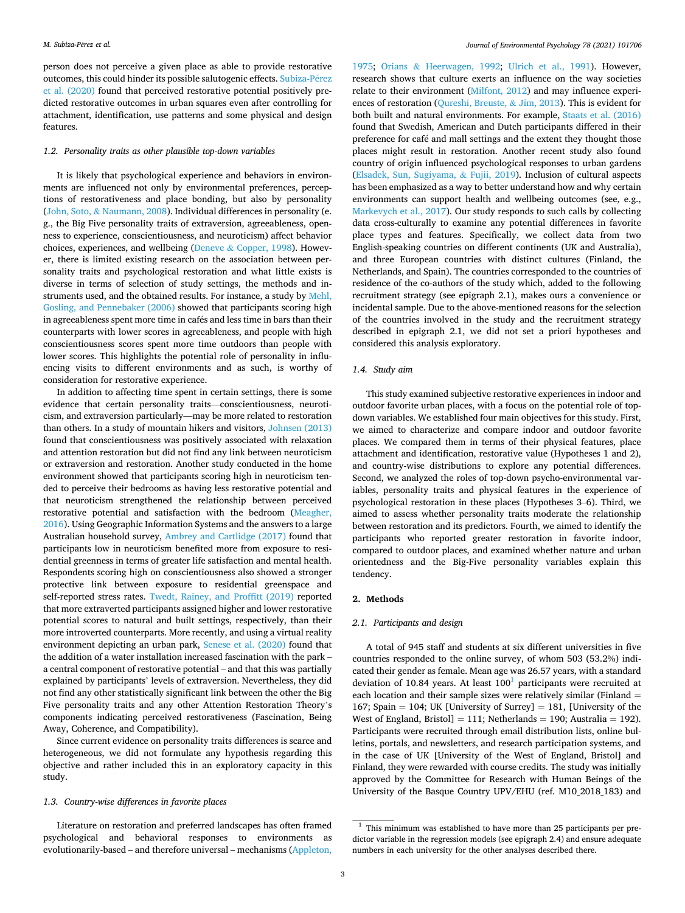person does not perceive a given place as able to provide restorative outcomes, this could hinder its possible salutogenic effects. [Subiza-P](#page-8-0)érez [et al. \(2020\)](#page-8-0) found that perceived restorative potential positively predicted restorative outcomes in urban squares even after controlling for attachment, identification, use patterns and some physical and design features.

#### *1.2. Personality traits as other plausible top-down variables*

It is likely that psychological experience and behaviors in environments are influenced not only by environmental preferences, perceptions of restorativeness and place bonding, but also by personality (John, Soto, & [Naumann, 2008](#page-7-0)). Individual differences in personality (e. g., the Big Five personality traits of extraversion, agreeableness, openness to experience, conscientiousness, and neuroticism) affect behavior choices, experiences, and wellbeing (Deneve & [Copper, 1998\)](#page-7-0). However, there is limited existing research on the association between personality traits and psychological restoration and what little exists is diverse in terms of selection of study settings, the methods and instruments used, and the obtained results. For instance, a study by [Mehl,](#page-8-0)  [Gosling, and Pennebaker \(2006\)](#page-8-0) showed that participants scoring high in agreeableness spent more time in cafés and less time in bars than their counterparts with lower scores in agreeableness, and people with high conscientiousness scores spent more time outdoors than people with lower scores. This highlights the potential role of personality in influencing visits to different environments and as such, is worthy of consideration for restorative experience.

In addition to affecting time spent in certain settings, there is some evidence that certain personality traits—conscientiousness, neuroticism, and extraversion particularly—may be more related to restoration than others. In a study of mountain hikers and visitors, [Johnsen \(2013\)](#page-7-0)  found that conscientiousness was positively associated with relaxation and attention restoration but did not find any link between neuroticism or extraversion and restoration. Another study conducted in the home environment showed that participants scoring high in neuroticism tended to perceive their bedrooms as having less restorative potential and that neuroticism strengthened the relationship between perceived restorative potential and satisfaction with the bedroom ([Meagher,](#page-8-0)  [2016\)](#page-8-0). Using Geographic Information Systems and the answers to a large Australian household survey, [Ambrey and Cartlidge \(2017\)](#page-7-0) found that participants low in neuroticism benefited more from exposure to residential greenness in terms of greater life satisfaction and mental health. Respondents scoring high on conscientiousness also showed a stronger protective link between exposure to residential greenspace and self-reported stress rates. [Twedt, Rainey, and Proffitt \(2019\)](#page-8-0) reported that more extraverted participants assigned higher and lower restorative potential scores to natural and built settings, respectively, than their more introverted counterparts. More recently, and using a virtual reality environment depicting an urban park, [Senese et al. \(2020\)](#page-8-0) found that the addition of a water installation increased fascination with the park – a central component of restorative potential – and that this was partially explained by participants' levels of extraversion. Nevertheless, they did not find any other statistically significant link between the other the Big Five personality traits and any other Attention Restoration Theory's components indicating perceived restorativeness (Fascination, Being Away, Coherence, and Compatibility).

Since current evidence on personality traits differences is scarce and heterogeneous, we did not formulate any hypothesis regarding this objective and rather included this in an exploratory capacity in this study.

# *1.3. Country-wise differences in favorite places*

Literature on restoration and preferred landscapes has often framed psychological and behavioral responses to environments as evolutionarily-based – and therefore universal – mechanisms [\(Appleton,](#page-7-0) 

[1975;](#page-7-0) Orians & [Heerwagen, 1992](#page-8-0); [Ulrich et al., 1991\)](#page-8-0). However, research shows that culture exerts an influence on the way societies relate to their environment ([Milfont, 2012](#page-8-0)) and may influence experiences of restoration ([Qureshi, Breuste,](#page-8-0) & Jim, 2013). This is evident for both built and natural environments. For example, [Staats et al. \(2016\)](#page-8-0)  found that Swedish, American and Dutch participants differed in their preference for café and mall settings and the extent they thought those places might result in restoration. Another recent study also found country of origin influenced psychological responses to urban gardens ([Elsadek, Sun, Sugiyama,](#page-7-0) & Fujii, 2019). Inclusion of cultural aspects has been emphasized as a way to better understand how and why certain environments can support health and wellbeing outcomes (see, e.g., [Markevych et al., 2017](#page-8-0)). Our study responds to such calls by collecting data cross-culturally to examine any potential differences in favorite place types and features. Specifically, we collect data from two English-speaking countries on different continents (UK and Australia), and three European countries with distinct cultures (Finland, the Netherlands, and Spain). The countries corresponded to the countries of residence of the co-authors of the study which, added to the following recruitment strategy (see epigraph 2.1), makes ours a convenience or incidental sample. Due to the above-mentioned reasons for the selection of the countries involved in the study and the recruitment strategy described in epigraph 2.1, we did not set a priori hypotheses and considered this analysis exploratory.

#### *1.4. Study aim*

This study examined subjective restorative experiences in indoor and outdoor favorite urban places, with a focus on the potential role of topdown variables. We established four main objectives for this study. First, we aimed to characterize and compare indoor and outdoor favorite places. We compared them in terms of their physical features, place attachment and identification, restorative value (Hypotheses 1 and 2), and country-wise distributions to explore any potential differences. Second, we analyzed the roles of top-down psycho-environmental variables, personality traits and physical features in the experience of psychological restoration in these places (Hypotheses 3–6). Third, we aimed to assess whether personality traits moderate the relationship between restoration and its predictors. Fourth, we aimed to identify the participants who reported greater restoration in favorite indoor, compared to outdoor places, and examined whether nature and urban orientedness and the Big-Five personality variables explain this tendency.

#### **2. Methods**

#### *2.1. Participants and design*

A total of 945 staff and students at six different universities in five countries responded to the online survey, of whom 503 (53.2%) indicated their gender as female. Mean age was 26.57 years, with a standard deviation of 10.84 years. At least  $100<sup>1</sup>$  participants were recruited at each location and their sample sizes were relatively similar (Finland = 167; Spain = 104; UK [University of Surrey] = 181, [University of the West of England, Bristol] = 111; Netherlands = 190; Australia = 192). Participants were recruited through email distribution lists, online bulletins, portals, and newsletters, and research participation systems, and in the case of UK [University of the West of England, Bristol] and Finland, they were rewarded with course credits. The study was initially approved by the Committee for Research with Human Beings of the University of the Basque Country UPV/EHU (ref. M10\_2018\_183) and

<sup>&</sup>lt;sup>1</sup> This minimum was established to have more than 25 participants per predictor variable in the regression models (see epigraph 2.4) and ensure adequate numbers in each university for the other analyses described there.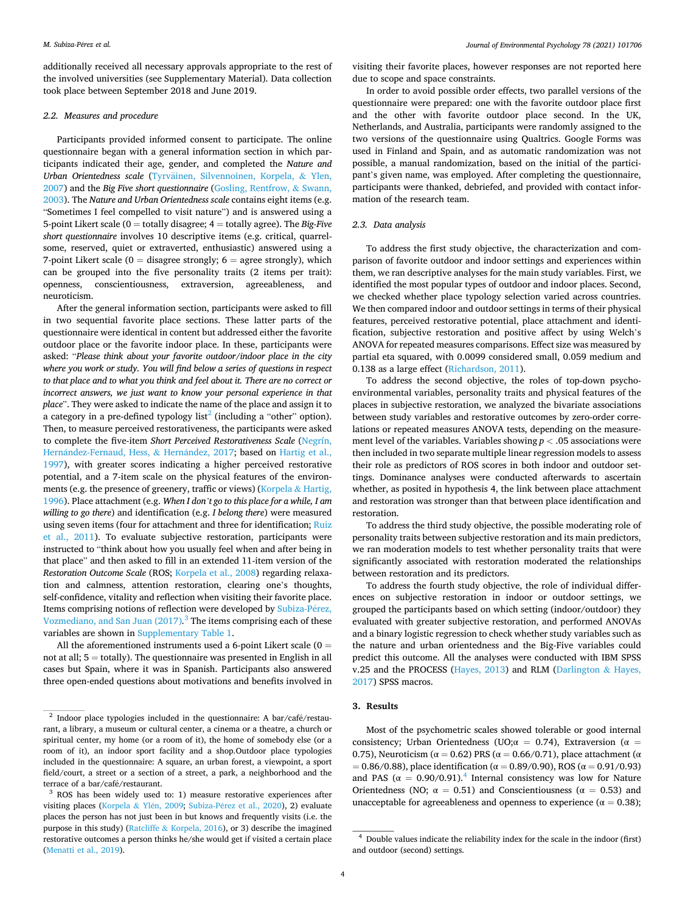<span id="page-3-0"></span>additionally received all necessary approvals appropriate to the rest of the involved universities (see Supplementary Material). Data collection took place between September 2018 and June 2019.

#### *2.2. Measures and procedure*

Participants provided informed consent to participate. The online questionnaire began with a general information section in which participants indicated their age, gender, and completed the *Nature and*  Urban Orientedness scale (Tyrväinen, Silvennoinen, Korpela, & Ylen, [2007\)](#page-8-0) and the *Big Five short questionnaire* [\(Gosling, Rentfrow,](#page-7-0) & Swann, [2003\)](#page-7-0). The *Nature and Urban Orientedness scale* contains eight items (e.g. "Sometimes I feel compelled to visit nature") and is answered using a 5-point Likert scale (0 = totally disagree; 4 = totally agree). The *Big-Five short questionnaire* involves 10 descriptive items (e.g. critical, quarrelsome, reserved, quiet or extraverted, enthusiastic) answered using a 7-point Likert scale ( $0 =$  disagree strongly;  $6 =$  agree strongly), which can be grouped into the five personality traits (2 items per trait): openness, conscientiousness, extraversion, agreeableness, and neuroticism.

After the general information section, participants were asked to fill in two sequential favorite place sections. These latter parts of the questionnaire were identical in content but addressed either the favorite outdoor place or the favorite indoor place. In these, participants were asked: "*Please think about your favorite outdoor/indoor place in the city where you work or study. You will find below a series of questions in respect to that place and to what you think and feel about it. There are no correct or incorrect answers, we just want to know your personal experience in that place*". They were asked to indicate the name of the place and assign it to a category in a pre-defined typology  $list^2$  (including a "other" option). Then, to measure perceived restorativeness, the participants were asked to complete the five-item *Short Perceived Restorativeness Scale* ([Negrín,](#page-8-0)  Hernández-Fernaud, Hess, & Hernández, 2017; based on Hartig et al., [1997\)](#page-7-0), with greater scores indicating a higher perceived restorative potential, and a 7-item scale on the physical features of the environ-ments (e.g. the presence of greenery, traffic or views) ([Korpela](#page-8-0) & Hartig, [1996\)](#page-8-0). Place attachment (e.g. *When I don't go to this place for a while, I am willing to go there*) and identification (e.g. *I belong there*) were measured using seven items (four for attachment and three for identification; [Ruiz](#page-8-0)  [et al., 2011](#page-8-0)). To evaluate subjective restoration, participants were instructed to "think about how you usually feel when and after being in that place" and then asked to fill in an extended 11-item version of the *Restoration Outcome Scale* (ROS; [Korpela et al., 2008\)](#page-8-0) regarding relaxation and calmness, attention restoration, clearing one's thoughts, self-confidence, vitality and reflection when visiting their favorite place. Items comprising notions of reflection were developed by [Subiza-P](#page-8-0)érez, [Vozmediano, and San Juan \(2017\)](#page-8-0)*.* <sup>3</sup>The items comprising each of these variables are shown in Supplementary Table 1.

All the aforementioned instruments used a 6-point Likert scale  $(0 =$ not at all;  $5 =$  totally). The questionnaire was presented in English in all cases but Spain, where it was in Spanish. Participants also answered three open-ended questions about motivations and benefits involved in visiting their favorite places, however responses are not reported here due to scope and space constraints.

In order to avoid possible order effects, two parallel versions of the questionnaire were prepared: one with the favorite outdoor place first and the other with favorite outdoor place second. In the UK, Netherlands, and Australia, participants were randomly assigned to the two versions of the questionnaire using Qualtrics. Google Forms was used in Finland and Spain, and as automatic randomization was not possible, a manual randomization, based on the initial of the participant's given name, was employed. After completing the questionnaire, participants were thanked, debriefed, and provided with contact information of the research team.

## *2.3. Data analysis*

To address the first study objective, the characterization and comparison of favorite outdoor and indoor settings and experiences within them, we ran descriptive analyses for the main study variables. First, we identified the most popular types of outdoor and indoor places. Second, we checked whether place typology selection varied across countries. We then compared indoor and outdoor settings in terms of their physical features, perceived restorative potential, place attachment and identification, subjective restoration and positive affect by using Welch's ANOVA for repeated measures comparisons. Effect size was measured by partial eta squared, with 0.0099 considered small, 0.059 medium and 0.138 as a large effect [\(Richardson, 2011](#page-8-0)).

To address the second objective, the roles of top-down psychoenvironmental variables, personality traits and physical features of the places in subjective restoration, we analyzed the bivariate associations between study variables and restorative outcomes by zero-order correlations or repeated measures ANOVA tests, depending on the measurement level of the variables. Variables showing *p <* .05 associations were then included in two separate multiple linear regression models to assess their role as predictors of ROS scores in both indoor and outdoor settings. Dominance analyses were conducted afterwards to ascertain whether, as posited in hypothesis 4, the link between place attachment and restoration was stronger than that between place identification and restoration.

To address the third study objective, the possible moderating role of personality traits between subjective restoration and its main predictors, we ran moderation models to test whether personality traits that were significantly associated with restoration moderated the relationships between restoration and its predictors.

To address the fourth study objective, the role of individual differences on subjective restoration in indoor or outdoor settings, we grouped the participants based on which setting (indoor/outdoor) they evaluated with greater subjective restoration, and performed ANOVAs and a binary logistic regression to check whether study variables such as the nature and urban orientedness and the Big-Five variables could predict this outcome. All the analyses were conducted with IBM SPSS v.25 and the PROCESS [\(Hayes, 2013\)](#page-7-0) and RLM [\(Darlington](#page-7-0) & Hayes, [2017\)](#page-7-0) SPSS macros.

## **3. Results**

Most of the psychometric scales showed tolerable or good internal consistency; Urban Orientedness (UO; $\alpha = 0.74$ ), Extraversion ( $\alpha =$ 0.75), Neuroticism ( $\alpha$  = 0.62) PRS ( $\alpha$  = 0.66/0.71), place attachment ( $\alpha$ = 0.86/0.88), place identification ( $\alpha$  = 0.89/0.90), ROS ( $\alpha$  = 0.91/0.93) and PAS ( $\alpha = 0.90/0.91$ ).<sup>4</sup> Internal consistency was low for Nature Orientedness (NO;  $\alpha = 0.51$ ) and Conscientiousness ( $\alpha = 0.53$ ) and unacceptable for agreeableness and openness to experience ( $\alpha = 0.38$ );

 $2$  Indoor place typologies included in the questionnaire: A bar/café/restaurant, a library, a museum or cultural center, a cinema or a theatre, a church or spiritual center, my home (or a room of it), the home of somebody else (or a room of it), an indoor sport facility and a shop.Outdoor place typologies included in the questionnaire: A square, an urban forest, a viewpoint, a sport field/court, a street or a section of a street, a park, a neighborhood and the terrace of a bar/café/restaurant.

 $3$  ROS has been widely used to: 1) measure restorative experiences after visiting places (Korpela & Ylén, 2009; Subiza-Pérez et al., 2020), 2) evaluate places the person has not just been in but knows and frequently visits (i.e. the purpose in this study) (Ratcliffe & [Korpela, 2016\)](#page-8-0), or 3) describe the imagined restorative outcomes a person thinks he/she would get if visited a certain place [\(Menatti et al., 2019\)](#page-8-0).

<sup>&</sup>lt;sup>4</sup> Double values indicate the reliability index for the scale in the indoor (first) and outdoor (second) settings.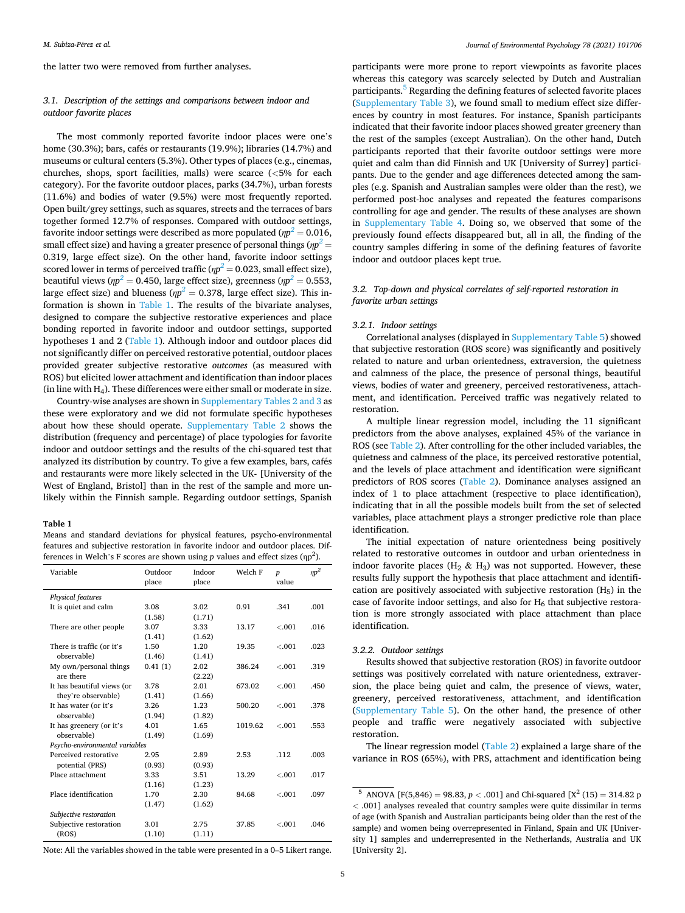the latter two were removed from further analyses.

# *3.1. Description of the settings and comparisons between indoor and outdoor favorite places*

The most commonly reported favorite indoor places were one's home (30.3%); bars, cafés or restaurants (19.9%); libraries (14.7%) and museums or cultural centers (5.3%). Other types of places (e.g., cinemas, churches, shops, sport facilities, malls) were scarce (*<*5% for each category). For the favorite outdoor places, parks (34.7%), urban forests (11.6%) and bodies of water (9.5%) were most frequently reported. Open built/grey settings, such as squares, streets and the terraces of bars together formed 12.7% of responses. Compared with outdoor settings, favorite indoor settings were described as more populated ( $\eta p^2$  = 0.016, small effect size) and having a greater presence of personal things ( $\eta p^2$   $=$ 0.319, large effect size). On the other hand, favorite indoor settings scored lower in terms of perceived traffic ( $\eta p^2$  = 0.023, small effect size), beautiful views (*ηp <sup>2</sup>*= [0.450, large effect size\), greenness \(](#page-3-0)*ηp <sup>2</sup>*= 0.553, large effect size) and blueness ( $\eta p^2=$  [0.378, large effect size\). This in](#page-3-0)formation is shown in Table 1. The results of the bivariate analyses, designed to compare the subjective restorative experiences and place bonding reported in favorite indoor and outdoor settings, supported hypotheses 1 and 2 (Table 1). Although indoor and outdoor places did not significantly differ on perceived restorative potential, outdoor places provided greater subjective restorative *outcomes* (as measured with ROS) but elicited lower attachment and identification than indoor places (in line with  $H_4$ ). These differences were either small or moderate in size.

Country-wise analyses are shown in Supplementary Tables 2 and 3 as these were exploratory and we did not formulate specific hypotheses about how these should operate. Supplementary Table 2 shows the distribution (frequency and percentage) of place typologies for favorite indoor and outdoor settings and the results of the chi-squared test that analyzed its distribution by country. To give a few examples, bars, cafés and restaurants were more likely selected in the UK- [University of the West of England, Bristol] than in the rest of the sample and more unlikely within the Finnish sample. Regarding outdoor settings, Spanish

#### **Table 1**

Means and standard deviations for physical features, psycho-environmental features and subjective restoration in favorite indoor and outdoor places. Differences in Welch's F scores are shown using  $p$  values and effect sizes  $(np^2)$ .

| Variable                       | Outdoor<br>place | Indoor<br>place | Welch F | $\boldsymbol{p}$<br>value | $\eta p^2$ |
|--------------------------------|------------------|-----------------|---------|---------------------------|------------|
| Physical features              |                  |                 |         |                           |            |
| It is quiet and calm           | 3.08             | 3.02            | 0.91    | .341                      | .001       |
|                                | (1.58)           | (1.71)          |         |                           |            |
| There are other people         | 3.07             | 3.33            | 13.17   | $-.001$                   | .016       |
|                                | (1.41)           | (1.62)          |         |                           |            |
| There is traffic (or it's      | 1.50             | 1.20            | 19.35   | $-.001$                   | .023       |
| observable)                    | (1.46)           | (1.41)          |         |                           |            |
| My own/personal things         | 0.41(1)          | 2.02            | 386.24  | $-.001$                   | .319       |
| are there                      |                  | (2.22)          |         |                           |            |
| It has beautiful views (or     | 3.78             | 2.01            | 673.02  | $-.001$                   | .450       |
| they're observable)            | (1.41)           | (1.66)          |         |                           |            |
| It has water (or it's          | 3.26             | 1.23            | 500.20  | $-.001$                   | .378       |
| observable)                    | (1.94)           | (1.82)          |         |                           |            |
| It has greenery (or it's       | 4.01             | 1.65            | 1019.62 | $-.001$                   | .553       |
| observable)                    | (1.49)           | (1.69)          |         |                           |            |
| Psycho-environmental variables |                  |                 |         |                           |            |
| Perceived restorative          | 2.95             | 2.89            | 2.53    | .112                      | .003       |
| potential (PRS)                | (0.93)           | (0.93)          |         |                           |            |
| Place attachment               | 3.33             | 3.51            | 13.29   | $-.001$                   | .017       |
|                                | (1.16)           | (1.23)          |         |                           |            |
| Place identification           | 1.70             | 2.30            | 84.68   | $-.001$                   | .097       |
|                                | (1.47)           | (1.62)          |         |                           |            |
| Subjective restoration         |                  |                 |         |                           |            |
| Subjective restoration         | 3.01             | 2.75            | 37.85   | $-.001$                   | .046       |
| (ROS)                          | (1.10)           | (1.11)          |         |                           |            |
|                                |                  |                 |         |                           |            |

Note: All the variables showed in the table were presented in a 0–5 Likert range.

participants were more prone to report viewpoints as favorite places whereas this category was scarcely selected by Dutch and Australian participants.5 Regarding the defining features of selected favorite places (Supplementary Table 3), we found small to medium effect size differences by country in most features. For instance, Spanish participants indicated that their favorite indoor places showed greater greenery than the rest of the samples (except Australian). On the other hand, Dutch participants reported that their favorite outdoor settings were more quiet and calm than did Finnish and UK [University of Surrey] participants. Due to the gender and age differences detected among the samples (e.g. Spanish and Australian samples were older than the rest), we performed post-hoc analyses and repeated the features comparisons controlling for age and gender. The results of these analyses are shown in Supplementary Table 4. Doing so, we observed that some of the previously found effects disappeared but, all in all, the finding of the country samples differing in some of the defining features of favorite indoor and outdoor places kept true.

## *3.2. Top-down and physical correlates of self-reported restoration in favorite urban settings*

## *3.2.1. Indoor settings*

Correlational analyses (displayed in Supplementary Table 5) showed that subjective restoration (ROS score) was significantly and positively related to nature and urban orientedness, extraversion, the quietness and calmness of the place, the presence of personal things, beautiful views, bodies of water and greenery, perceived restorativeness, attachment, and identification. Perceived traffic was negatively related to restoration.

A multiple linear regression model, including the 11 significant predictors from the above analyses, explained 45% of the variance in ROS (see [Table 2](#page-5-0)). After controlling for the other included variables, the quietness and calmness of the place, its perceived restorative potential, and the levels of place attachment and identification were significant predictors of ROS scores ([Table 2](#page-5-0)). Dominance analyses assigned an index of 1 to place attachment (respective to place identification), indicating that in all the possible models built from the set of selected variables, place attachment plays a stronger predictive role than place identification.

The initial expectation of nature orientedness being positively related to restorative outcomes in outdoor and urban orientedness in indoor favorite places  $(H_2 \& H_3)$  was not supported. However, these results fully support the hypothesis that place attachment and identification are positively associated with subjective restoration  $(H_5)$  in the case of favorite indoor settings, and also for  $H_6$  that subjective restoration is more strongly associated with place attachment than place identification.

#### *3.2.2. Outdoor settings*

Results showed that subjective restoration (ROS) in favorite outdoor settings was positively correlated with nature orientedness, extraversion, the place being quiet and calm, the presence of views, water, greenery, perceived restorativeness, attachment, and identification (Supplementary Table 5). On the other hand, the presence of other people and traffic were negatively associated with subjective restoration.

The linear regression model ([Table 2](#page-5-0)) explained a large share of the variance in ROS (65%), with PRS, attachment and identification being

<sup>&</sup>lt;sup>5</sup> ANOVA [F(5,846) = 98.83,  $p < .001$ ] and Chi-squared [X<sup>2</sup> (15) = 314.82 p *<* .001] analyses revealed that country samples were quite dissimilar in terms of age (with Spanish and Australian participants being older than the rest of the sample) and women being overrepresented in Finland, Spain and UK [University 1] samples and underrepresented in the Netherlands, Australia and UK [University 2].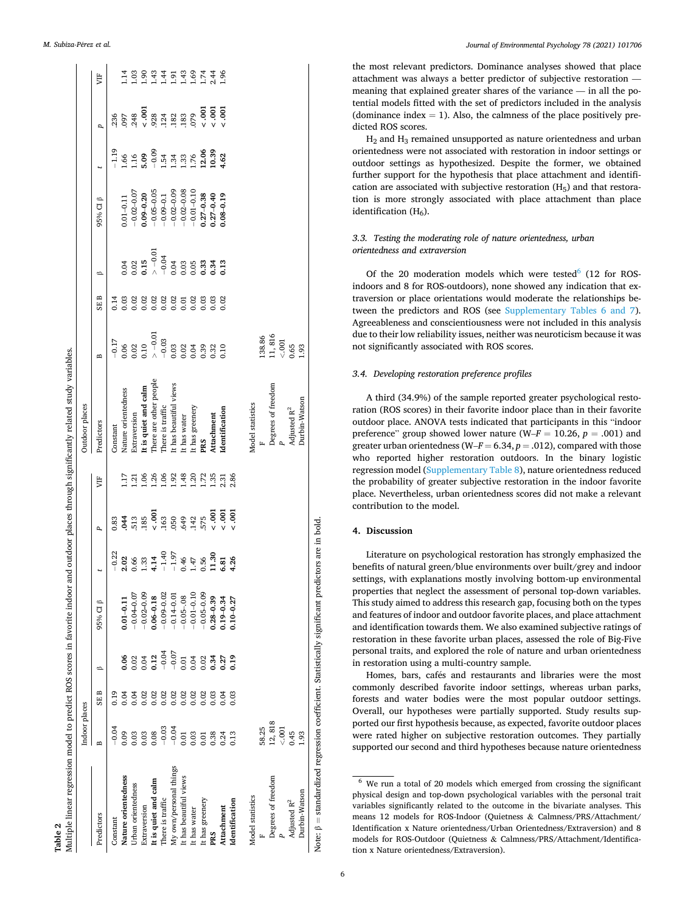<span id="page-5-0"></span>

|                         | Indoor places  |      |                |                |                    |                 |      | Outdoor places          |                  |      |                  |                |                  |                                                                  |                |
|-------------------------|----------------|------|----------------|----------------|--------------------|-----------------|------|-------------------------|------------------|------|------------------|----------------|------------------|------------------------------------------------------------------|----------------|
| Predictors              | $\overline{a}$ | SE B | ≏              | 95% CI B       |                    | P,              | 片    | Predictors              | B                | SE B | ≏                | 95% CI β       |                  | p                                                                | Ë              |
| Constant                | $-0.04$        | 0.19 |                |                | $-0.22$            | 0.83            |      | Constant                | $-0.17$          | 0.14 |                  |                | $-1.19$          | 236                                                              |                |
| Nature orientedness     | 0.09           | 0.04 | 0.06           | $0.01 - 0.11$  | 2.02               | 044             | .17  | Nature orientedness     | 0.06             | 0.03 | 0.04             | $0.01 - 0.11$  | 1.66             | 097                                                              | $\frac{4}{11}$ |
| Urban orientedness      | 0.03           | 0.04 | 0.02           | $-0.04 - 0.07$ | 0.66               | 513             | 1.21 | Extraversion            |                  |      |                  | $-0.02 - 0.07$ | 116              |                                                                  | 1.03           |
| Extraversion            | 0.03           | 0.02 | 0.04           | $-0.02 - 0.09$ | 1.33               | 185             | 1.06 | It is quiet and calm    | $0.02$<br>$0.10$ | 0.02 | $0.02$<br>$0.15$ | $0.09 - 0.20$  | 5.09             | $.248$<br>$-0.001$<br>$.928$                                     | $^{6}$         |
| It is quiet and calm    | 0.08           | 0.02 | 0.12           | $0.06 - 0.18$  | 4.14               | $-0.001$        | 1.26 | There are other people  | $\sim -0.01$     | 0.02 | $> -0.01$        | $-0.05 - 0.05$ | $-0.09$          |                                                                  | 1.43           |
| There is traffic        | $-0.03$        | 0.02 | $-0.07 - 0.07$ | $-0.09 - 0.02$ | $-1.40$<br>$-1.97$ | 163             | 1.06 | There is traffic        | $-0.03$          | 0.02 | $-0.04$          | $-0.09 - 0.1$  | $1.54$<br>$1.34$ | $\begin{array}{c} 124 \\ 182 \\ 183 \end{array}$                 |                |
| My own/personal things  | $-0.04$        | 0.02 |                | $-0.14 - 0.01$ |                    | 050             | 1.92 | It has beautiful views  | 0.03             |      | 0.04             | $-0.02 - 0.09$ |                  |                                                                  | 1.91           |
| It has beautiful views  | 0.01           | 0.02 | 0.01           | $-0.05 - 08$   | 0.46               | 649             | 1.48 | It has water            | 0.02             | 0.01 | 0.03             | $-0.02 - 0.08$ | 1.33             |                                                                  | 1.43           |
| It has water            | 0.03           | 0.02 | 0.04           | $-0.01 - 0.10$ | $1.47\,$           | .142            | 1.20 | It has greenery         | 0.04             | 0.02 | 0.05             | $-0.01 - 0.10$ | 1.76             | 079                                                              | 1.69           |
| It has greenery         | 0.01           | 0.02 | 0.02           | $-0.05 - 0.09$ | 0.56               | 575             | 1.72 | PRS                     | 0.39             | 0.03 | 0.33             | $0.27 - 0.38$  | $12.06$<br>10.39 |                                                                  | 1.74           |
| PRS                     | 0.38           | 0.03 | 0.34           | $0.28 - 0.39$  | 11.30              | $\frac{100}{2}$ | 1.35 | Attachment              | 0.32             | 0.03 | 0.34             | $0.27 - 0.40$  |                  | $\frac{5}{3}$<br>$\frac{5}{3}$<br>$\frac{5}{3}$<br>$\frac{5}{3}$ | 2.44           |
| Attachment              | 0.24           | 0.04 | 0.27           | $0.19 - 0.34$  | 6.81               | $\frac{500}{2}$ | 2.31 | Identification          | 0.10             | 0.02 | 0.13             | $0.08 - 0.19$  | 1.62             |                                                                  | $-96$          |
| Identification          | 0.13           | 0.03 | 0.19           | $0.10 - 0.27$  | 4.26               | $\frac{60}{5}$  | 2.86 |                         |                  |      |                  |                |                  |                                                                  |                |
| Model statistics        |                |      |                |                |                    |                 |      | Model statistics        |                  |      |                  |                |                  |                                                                  |                |
|                         | 58.25          |      |                |                |                    |                 |      |                         | 138.86           |      |                  |                |                  |                                                                  |                |
| Degrees of freedom      | 12,818         |      |                |                |                    |                 |      | Degrees of freedom      | 11,816           |      |                  |                |                  |                                                                  |                |
|                         | $<0.01$        |      |                |                |                    |                 |      |                         | 0.001            |      |                  |                |                  |                                                                  |                |
| Adjusted $\mathbf{R}^2$ | 0.45           |      |                |                |                    |                 |      | Adjusted R <sup>2</sup> | 0.65             |      |                  |                |                  |                                                                  |                |
| Durbin-Watson           | 1.93           |      |                |                |                    |                 |      | Durbin-Watson           | 1.93             |      |                  |                |                  |                                                                  |                |

the most relevant predictors. Dominance analyses showed that place attachment was always a better predictor of subjective restoration meaning that explained greater shares of the variance — in all the potential models fitted with the set of predictors included in the analysis (dominance index  $= 1$ ). Also, the calmness of the place positively predicted ROS scores.

H2 and H3 remained unsupported as nature orientedness and urban orientedness were not associated with restoration in indoor settings or outdoor settings as hypothesized. Despite the former, we obtained further support for the hypothesis that place attachment and identification are associated with subjective restoration  $(H_5)$  and that restoration is more strongly associated with place attachment than place identification  $(H_6)$ .

# *3.3. Testing the moderating role of nature orientedness, urban orientedness and extraversion*

Of the 20 moderation models which were tested $6$  (12 for ROSindoors and 8 for ROS-outdoors), none showed any indication that extraversion or place orientations would moderate the relationships between the predictors and ROS (see Supplementary Tables 6 and 7). Agreeableness and conscientiousness were not included in this analysis due to their low reliability issues, neither was neuroticism because it was not significantly associated with ROS scores.

## *3.4. Developing restoration preference profiles*

A third (34.9%) of the sample reported greater psychological restoration (ROS scores) in their favorite indoor place than in their favorite outdoor place. ANOVA tests indicated that participants in this "indoor preference" group showed lower nature ( $W-F = 10.26$ ,  $p = .001$ ) and greater urban orientedness (W–*F* = 6.34, *p* = .012), compared with those who reported higher restoration outdoors. In the binary logistic regression model (Supplementary Table 8), nature orientedness reduced the probability of greater subjective restoration in the indoor favorite place. Nevertheless, urban orientedness scores did not make a relevant contribution to the model.

# **4. Discussion**

Literature on psychological restoration has strongly emphasized the benefits of natural green/blue environments over built/grey and indoor settings, with explanations mostly involving bottom-up environmental properties that neglect the assessment of personal top-down variables. This study aimed to address this research gap, focusing both on the types and features of indoor and outdoor favorite places, and place attachment and identification towards them. We also examined subjective ratings of restoration in these favorite urban places, assessed the role of Big-Five personal traits, and explored the role of nature and urban orientedness in restoration using a multi-country sample.

Homes, bars, cafés and restaurants and libraries were the most commonly described favorite indoor settings, whereas urban parks, forests and water bodies were the most popular outdoor settings. Overall, our hypotheses were partially supported. Study results supported our first hypothesis because, as expected, favorite outdoor places were rated higher on subjective restoration outcomes. They partially supported our second and third hypotheses because nature orientedness

 $6$  We run a total of 20 models which emerged from crossing the significant physical design and top-down psychological variables with the personal trait variables significantly related to the outcome in the bivariate analyses. This means 12 models for ROS-Indoor (Quietness & Calmness/PRS/Attachment/ Identification x Nature orientedness/Urban Orientedness/Extraversion) and 8 models for ROS-Outdoor (Quietness & Calmness/PRS/Attachment/Identification x Nature orientedness/Extraversion).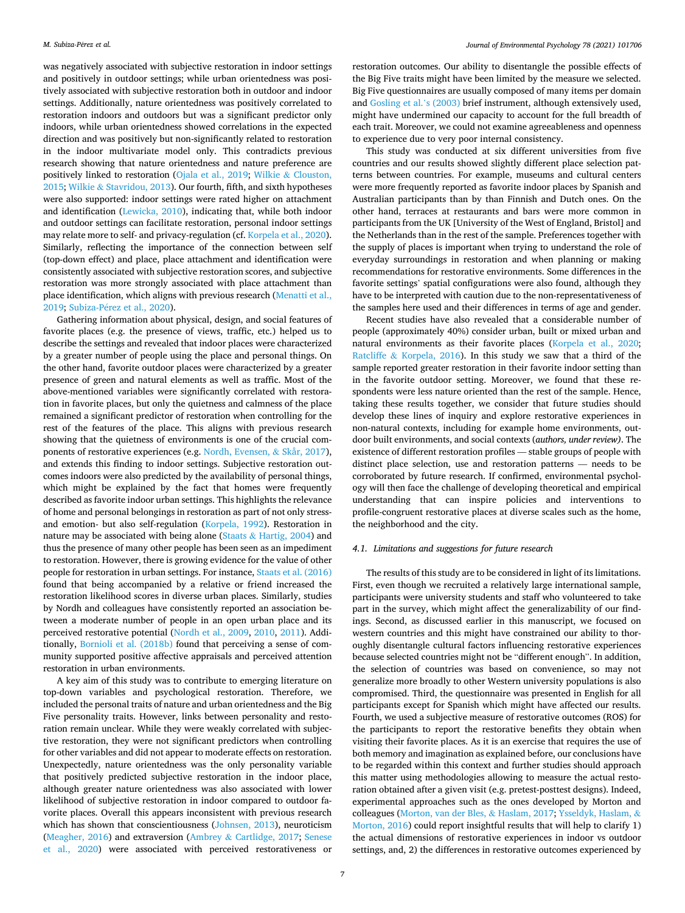was negatively associated with subjective restoration in indoor settings and positively in outdoor settings; while urban orientedness was positively associated with subjective restoration both in outdoor and indoor settings. Additionally, nature orientedness was positively correlated to restoration indoors and outdoors but was a significant predictor only indoors, while urban orientedness showed correlations in the expected direction and was positively but non-significantly related to restoration in the indoor multivariate model only. This contradicts previous research showing that nature orientedness and nature preference are positively linked to restoration [\(Ojala et al., 2019;](#page-8-0) Wilkie & [Clouston,](#page-9-0)  [2015;](#page-9-0) Wilkie & [Stavridou, 2013](#page-9-0)). Our fourth, fifth, and sixth hypotheses were also supported: indoor settings were rated higher on attachment and identification ([Lewicka, 2010\)](#page-8-0), indicating that, while both indoor and outdoor settings can facilitate restoration, personal indoor settings may relate more to self- and privacy-regulation (cf. [Korpela et al., 2020](#page-8-0)). Similarly, reflecting the importance of the connection between self (top-down effect) and place, place attachment and identification were consistently associated with subjective restoration scores, and subjective restoration was more strongly associated with place attachment than place identification, which aligns with previous research [\(Menatti et al.,](#page-8-0)  [2019;](#page-8-0) Subiza-Pérez et al., 2020).

Gathering information about physical, design, and social features of favorite places (e.g. the presence of views, traffic, etc.) helped us to describe the settings and revealed that indoor places were characterized by a greater number of people using the place and personal things. On the other hand, favorite outdoor places were characterized by a greater presence of green and natural elements as well as traffic. Most of the above-mentioned variables were significantly correlated with restoration in favorite places, but only the quietness and calmness of the place remained a significant predictor of restoration when controlling for the rest of the features of the place. This aligns with previous research showing that the quietness of environments is one of the crucial components of restorative experiences (e.g. [Nordh, Evensen,](#page-8-0) & Skår, 2017), and extends this finding to indoor settings. Subjective restoration outcomes indoors were also predicted by the availability of personal things, which might be explained by the fact that homes were frequently described as favorite indoor urban settings. This highlights the relevance of home and personal belongings in restoration as part of not only stressand emotion- but also self-regulation [\(Korpela, 1992](#page-8-0)). Restoration in nature may be associated with being alone (Staats  $&$  [Hartig, 2004](#page-8-0)) and thus the presence of many other people has been seen as an impediment to restoration. However, there is growing evidence for the value of other people for restoration in urban settings. For instance, [Staats et al. \(2016\)](#page-8-0)  found that being accompanied by a relative or friend increased the restoration likelihood scores in diverse urban places. Similarly, studies by Nordh and colleagues have consistently reported an association between a moderate number of people in an open urban place and its perceived restorative potential [\(Nordh et al., 2009](#page-8-0), [2010,](#page-8-0) [2011\)](#page-8-0). Additionally, [Bornioli et al. \(2018b\)](#page-7-0) found that perceiving a sense of community supported positive affective appraisals and perceived attention restoration in urban environments.

A key aim of this study was to contribute to emerging literature on top-down variables and psychological restoration. Therefore, we included the personal traits of nature and urban orientedness and the Big Five personality traits. However, links between personality and restoration remain unclear. While they were weakly correlated with subjective restoration, they were not significant predictors when controlling for other variables and did not appear to moderate effects on restoration. Unexpectedly, nature orientedness was the only personality variable that positively predicted subjective restoration in the indoor place, although greater nature orientedness was also associated with lower likelihood of subjective restoration in indoor compared to outdoor favorite places. Overall this appears inconsistent with previous research which has shown that conscientiousness [\(Johnsen, 2013\)](#page-7-0), neuroticism ([Meagher, 2016](#page-8-0)) and extraversion (Ambrey & [Cartlidge, 2017](#page-7-0); [Senese](#page-8-0)  [et al., 2020](#page-8-0)) were associated with perceived restorativeness or

restoration outcomes. Our ability to disentangle the possible effects of the Big Five traits might have been limited by the measure we selected. Big Five questionnaires are usually composed of many items per domain and [Gosling et al.](#page-7-0)'s (2003) brief instrument, although extensively used, might have undermined our capacity to account for the full breadth of each trait. Moreover, we could not examine agreeableness and openness to experience due to very poor internal consistency.

This study was conducted at six different universities from five countries and our results showed slightly different place selection patterns between countries. For example, museums and cultural centers were more frequently reported as favorite indoor places by Spanish and Australian participants than by than Finnish and Dutch ones. On the other hand, terraces at restaurants and bars were more common in participants from the UK [University of the West of England, Bristol] and the Netherlands than in the rest of the sample. Preferences together with the supply of places is important when trying to understand the role of everyday surroundings in restoration and when planning or making recommendations for restorative environments. Some differences in the favorite settings' spatial configurations were also found, although they have to be interpreted with caution due to the non-representativeness of the samples here used and their differences in terms of age and gender.

Recent studies have also revealed that a considerable number of people (approximately 40%) consider urban, built or mixed urban and natural environments as their favorite places [\(Korpela et al., 2020](#page-8-0); Ratcliffe & [Korpela, 2016\)](#page-8-0). In this study we saw that a third of the sample reported greater restoration in their favorite indoor setting than in the favorite outdoor setting. Moreover, we found that these respondents were less nature oriented than the rest of the sample. Hence, taking these results together, we consider that future studies should develop these lines of inquiry and explore restorative experiences in non-natural contexts, including for example home environments, outdoor built environments, and social contexts (*authors, under review)*. The existence of different restoration profiles — stable groups of people with distinct place selection, use and restoration patterns — needs to be corroborated by future research. If confirmed, environmental psychology will then face the challenge of developing theoretical and empirical understanding that can inspire policies and interventions to profile-congruent restorative places at diverse scales such as the home, the neighborhood and the city.

## *4.1. Limitations and suggestions for future research*

The results of this study are to be considered in light of its limitations. First, even though we recruited a relatively large international sample, participants were university students and staff who volunteered to take part in the survey, which might affect the generalizability of our findings. Second, as discussed earlier in this manuscript, we focused on western countries and this might have constrained our ability to thoroughly disentangle cultural factors influencing restorative experiences because selected countries might not be "different enough". In addition, the selection of countries was based on convenience, so may not generalize more broadly to other Western university populations is also compromised. Third, the questionnaire was presented in English for all participants except for Spanish which might have affected our results. Fourth, we used a subjective measure of restorative outcomes (ROS) for the participants to report the restorative benefits they obtain when visiting their favorite places. As it is an exercise that requires the use of both memory and imagination as explained before, our conclusions have to be regarded within this context and further studies should approach this matter using methodologies allowing to measure the actual restoration obtained after a given visit (e.g. pretest-posttest designs). Indeed, experimental approaches such as the ones developed by Morton and colleagues [\(Morton, van der Bles,](#page-8-0) & Haslam, 2017; [Ysseldyk, Haslam,](#page-9-0) & [Morton, 2016\)](#page-9-0) could report insightful results that will help to clarify 1) the actual dimensions of restorative experiences in indoor vs outdoor settings, and, 2) the differences in restorative outcomes experienced by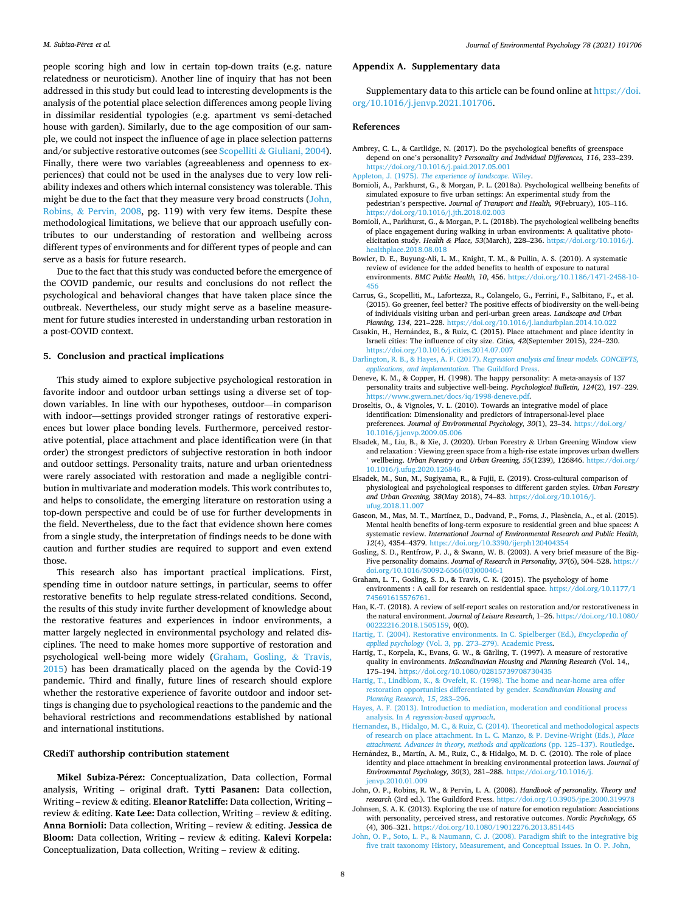<span id="page-7-0"></span>people scoring high and low in certain top-down traits (e.g. nature relatedness or neuroticism). Another line of inquiry that has not been addressed in this study but could lead to interesting developments is the analysis of the potential place selection differences among people living in dissimilar residential typologies (e.g. apartment vs semi-detached house with garden). Similarly, due to the age composition of our sample, we could not inspect the influence of age in place selection patterns and/or subjective restorative outcomes (see Scopelliti & [Giuliani, 2004](#page-8-0)). Finally, there were two variables (agreeableness and openness to experiences) that could not be used in the analyses due to very low reliability indexes and others which internal consistency was tolerable. This might be due to the fact that they measure very broad constructs (John, Robins, & Pervin, 2008, pg. 119) with very few items. Despite these methodological limitations, we believe that our approach usefully contributes to our understanding of restoration and wellbeing across different types of environments and for different types of people and can serve as a basis for future research.

Due to the fact that this study was conducted before the emergence of the COVID pandemic, our results and conclusions do not reflect the psychological and behavioral changes that have taken place since the outbreak. Nevertheless, our study might serve as a baseline measurement for future studies interested in understanding urban restoration in a post-COVID context.

## **5. Conclusion and practical implications**

This study aimed to explore subjective psychological restoration in favorite indoor and outdoor urban settings using a diverse set of topdown variables. In line with our hypotheses, outdoor—in comparison with indoor—settings provided stronger ratings of restorative experiences but lower place bonding levels. Furthermore, perceived restorative potential, place attachment and place identification were (in that order) the strongest predictors of subjective restoration in both indoor and outdoor settings. Personality traits, nature and urban orientedness were rarely associated with restoration and made a negligible contribution in multivariate and moderation models. This work contributes to, and helps to consolidate, the emerging literature on restoration using a top-down perspective and could be of use for further developments in the field. Nevertheless, due to the fact that evidence shown here comes from a single study, the interpretation of findings needs to be done with caution and further studies are required to support and even extend those.

This research also has important practical implications. First, spending time in outdoor nature settings, in particular, seems to offer restorative benefits to help regulate stress-related conditions. Second, the results of this study invite further development of knowledge about the restorative features and experiences in indoor environments, a matter largely neglected in environmental psychology and related disciplines. The need to make homes more supportive of restoration and psychological well-being more widely (Graham, Gosling, & Travis, 2015) has been dramatically placed on the agenda by the Covid-19 pandemic. Third and finally, future lines of research should explore whether the restorative experience of favorite outdoor and indoor settings is changing due to psychological reactions to the pandemic and the behavioral restrictions and recommendations established by national and international institutions.

#### **CRediT authorship contribution statement**

Mikel Subiza-Pérez: Conceptualization, Data collection, Formal analysis, Writing – original draft. **Tytti Pasanen:** Data collection, Writing – review & editing. **Eleanor Ratcliffe:** Data collection, Writing – review & editing. **Kate Lee:** Data collection, Writing – review & editing. **Anna Bornioli:** Data collection, Writing – review & editing. **Jessica de Bloom:** Data collection, Writing – review & editing. **Kalevi Korpela:**  Conceptualization, Data collection, Writing – review  $\&$  editing.

## **Appendix A. Supplementary data**

Supplementary data to this article can be found online at [https://doi.](https://doi.org/10.1016/j.jenvp.2021.101706)  [org/10.1016/j.jenvp.2021.101706.](https://doi.org/10.1016/j.jenvp.2021.101706)

#### **References**

Ambrey, C. L., & Cartlidge, N. (2017). Do the psychological benefits of greenspace depend on one's personality? *Personality and Individual Differences, 116*, 233–239. <https://doi.org/10.1016/j.paid.2017.05.001> Appleton, J. (1975). *[The experience of landscape](http://refhub.elsevier.com/S0272-4944(21)00159-6/sref2)*. Wiley.

Bornioli, A., Parkhurst, G., & Morgan, P. L. (2018a). Psychological wellbeing benefits of simulated exposure to five urban settings: An experimental study from the pedestrian's perspective. *Journal of Transport and Health, 9*(February), 105–116. <https://doi.org/10.1016/j.jth.2018.02.003>

Bornioli, A., Parkhurst, G., & Morgan, P. L. (2018b). The psychological wellbeing benefits of place engagement during walking in urban environments: A qualitative photoelicitation study. *Health & Place, 53*(March), 228–236. [https://doi.org/10.1016/j.](https://doi.org/10.1016/j.healthplace.2018.08.018) [healthplace.2018.08.018](https://doi.org/10.1016/j.healthplace.2018.08.018) 

- Bowler, D. E., Buyung-Ali, L. M., Knight, T. M., & Pullin, A. S. (2010). A systematic review of evidence for the added benefits to health of exposure to natural environments. *BMC Public Health, 10*, 456. [https://doi.org/10.1186/1471-2458-10-](https://doi.org/10.1186/1471-2458-10-456)  [456](https://doi.org/10.1186/1471-2458-10-456)
- Carrus, G., Scopelliti, M., Lafortezza, R., Colangelo, G., Ferrini, F., Salbitano, F., et al. (2015). Go greener, feel better? The positive effects of biodiversity on the well-being of individuals visiting urban and peri-urban green areas. *Landscape and Urban Planning, 134*, 221–228. <https://doi.org/10.1016/j.landurbplan.2014.10.022>
- Casakin, H., Hernández, B., & Ruiz, C. (2015). Place attachment and place identity in Israeli cities: The influence of city size. *Cities, 42*(September 2015), 224–230. <https://doi.org/10.1016/j.cities.2014.07.007>
- Darlington, R. B., & Hayes, A. F. (2017). *[Regression analysis and linear models. CONCEPTS,](http://refhub.elsevier.com/S0272-4944(21)00159-6/sref8)  [applications, and implementation](http://refhub.elsevier.com/S0272-4944(21)00159-6/sref8)*. The Guildford Press.
- Deneve, K. M., & Copper, H. (1998). The happy personality: A meta-anaysis of 137 personality traits and subjective well-being. *Psychological Bulletin, 124*(2), 197–229. <https://www.gwern.net/docs/iq/1998-deneve.pdf>.
- Droseltis, O., & Vignoles, V. L. (2010). Towards an integrative model of place identification: Dimensionality and predictors of intrapersonal-level place preferences. *Journal of Environmental Psychology, 30*(1), 23–34. [https://doi.org/](https://doi.org/10.1016/j.jenvp.2009.05.006)  [10.1016/j.jenvp.2009.05.006](https://doi.org/10.1016/j.jenvp.2009.05.006)
- Elsadek, M., Liu, B., & Xie, J. (2020). Urban Forestry & Urban Greening Window view and relaxation : Viewing green space from a high-rise estate improves urban dwellers ' wellbeing. *Urban Forestry and Urban Greening, 55*(1239), 126846. [https://doi.org/](https://doi.org/10.1016/j.ufug.2020.126846)  [10.1016/j.ufug.2020.126846](https://doi.org/10.1016/j.ufug.2020.126846)
- Elsadek, M., Sun, M., Sugiyama, R., & Fujii, E. (2019). Cross-cultural comparison of physiological and psychological responses to different garden styles. *Urban Forestry and Urban Greening, 38*(May 2018), 74–83. [https://doi.org/10.1016/j.](https://doi.org/10.1016/j.ufug.2018.11.007) [ufug.2018.11.007](https://doi.org/10.1016/j.ufug.2018.11.007)
- Gascon, M., Mas, M. T., Martínez, D., Dadvand, P., Forns, J., Plasència, A., et al. (2015). Mental health benefits of long-term exposure to residential green and blue spaces: A systematic review. *International Journal of Environmental Research and Public Health, 12*(4), 4354–4379. <https://doi.org/10.3390/ijerph120404354>
- Gosling, S. D., Rentfrow, P. J., & Swann, W. B. (2003). A very brief measure of the Big-Five personality domains. *Journal of Research in Personality, 37*(6), 504–528. [https://](https://doi.org/10.1016/S0092-6566(03)00046-1)  [doi.org/10.1016/S0092-6566\(03\)00046-1](https://doi.org/10.1016/S0092-6566(03)00046-1)
- Graham, L. T., Gosling, S. D., & Travis, C. K. (2015). The psychology of home environments : A call for research on residential space. [https://doi.org/10.1177/1](https://doi.org/10.1177/1745691615576761) [745691615576761](https://doi.org/10.1177/1745691615576761).
- Han, K.-T. (2018). A review of self-report scales on restoration and/or restorativeness in the natural environment. *Journal of Leisure Research*, 1–26. [https://doi.org/10.1080/](https://doi.org/10.1080/00222216.2018.1505159)  [00222216.2018.1505159](https://doi.org/10.1080/00222216.2018.1505159), 0(0).
- [Hartig, T. \(2004\). Restorative environments. In C. Spielberger \(Ed.\),](http://refhub.elsevier.com/S0272-4944(21)00159-6/sref17) *Encyclopedia of applied psychology* (Vol. 3, pp. 273–[279\). Academic Press](http://refhub.elsevier.com/S0272-4944(21)00159-6/sref17).
- Hartig, T., Korpela, K., Evans, G. W., & Gärling, T. (1997). A measure of restorative quality in environments. *InScandinavian Housing and Planning Research* (Vol. 14,, 175–194. <https://doi.org/10.1080/02815739708730435>
- [Hartig, T., Lindblom, K., & Ovefelt, K. \(1998\). The home and near-home area offer](http://refhub.elsevier.com/S0272-4944(21)00159-6/sref18) [restoration opportunities differentiated by gender.](http://refhub.elsevier.com/S0272-4944(21)00159-6/sref18) *Scandinavian Housing and [Planning Research, 15](http://refhub.elsevier.com/S0272-4944(21)00159-6/sref18)*, 283–296.
- [Hayes, A. F. \(2013\). Introduction to mediation, moderation and conditional process](http://refhub.elsevier.com/S0272-4944(21)00159-6/sref19)  analysis. In *[A regression-based approach](http://refhub.elsevier.com/S0272-4944(21)00159-6/sref19)*.
- [Hernandez, B., Hidalgo, M. C., & Ruiz, C. \(2014\). Theoretical and methodological aspects](http://refhub.elsevier.com/S0272-4944(21)00159-6/sref20)  [of research on place attachment. In L. C. Manzo, & P. Devine-Wright \(Eds.\),](http://refhub.elsevier.com/S0272-4944(21)00159-6/sref20) *Place [attachment. Advances in theory, methods and applications](http://refhub.elsevier.com/S0272-4944(21)00159-6/sref20)* (pp. 125–137). Routledge.
- Hernández, B., Martín, A. M., Ruiz, C., & Hidalgo, M. D. C. (2010). The role of place identity and place attachment in breaking environmental protection laws. *Journal of Environmental Psychology, 30*(3), 281–288. [https://doi.org/10.1016/j.](https://doi.org/10.1016/j.jenvp.2010.01.009)  [jenvp.2010.01.009](https://doi.org/10.1016/j.jenvp.2010.01.009)
- John, O. P., Robins, R. W., & Pervin, L. A. (2008). *Handbook of personality. Theory and*  research (3rd ed.). The Guildford Press. https://doi.org/10.3905/jpe.2000.31997
- Johnsen, S. A. K. (2013). Exploring the use of nature for emotion regulation: Associations with personality, perceived stress, and restorative outcomes. *Nordic Psychology, 65*  (4), 306–321.<https://doi.org/10.1080/19012276.2013.851445>
- [John, O. P., Soto, L. P., & Naumann, C. J. \(2008\). Paradigm shift to the integrative big](http://refhub.elsevier.com/S0272-4944(21)00159-6/sref24) [five trait taxonomy History, Measurement, and Conceptual Issues. In O. P. John,](http://refhub.elsevier.com/S0272-4944(21)00159-6/sref24)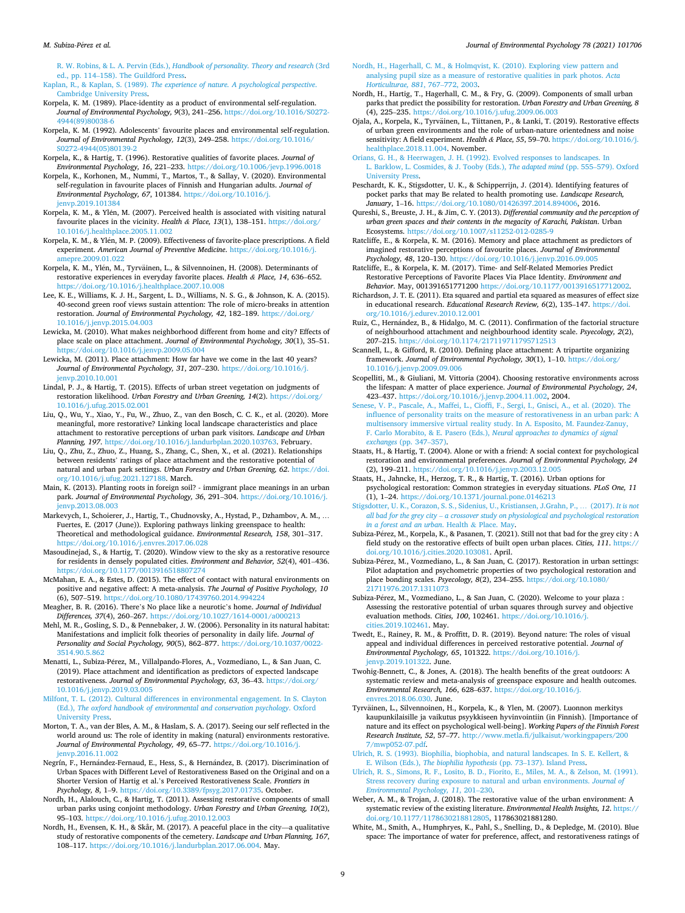#### <span id="page-8-0"></span>*M. Subiza-P*´*erez et al.*

R. W. Robins, & L. A. Pervin (Eds.), *[Handbook of personality. Theory and research](http://refhub.elsevier.com/S0272-4944(21)00159-6/sref24)* (3rd ed., pp. 114–[158\). The Guildford Press](http://refhub.elsevier.com/S0272-4944(21)00159-6/sref24).

Kaplan, R., & Kaplan, S. (1989). *[The experience of nature. A psychological perspective](http://refhub.elsevier.com/S0272-4944(21)00159-6/sref25)*. [Cambridge University Press.](http://refhub.elsevier.com/S0272-4944(21)00159-6/sref25)

- Korpela, K. M. (1989). Place-identity as a product of environmental self-regulation. *Journal of Environmental Psychology, 9*(3), 241–256. [https://doi.org/10.1016/S0272-](https://doi.org/10.1016/S0272-4944(89)80038-6)  [4944\(89\)80038-6](https://doi.org/10.1016/S0272-4944(89)80038-6)
- Korpela, K. M. (1992). Adolescents' favourite places and environmental self-regulation. *Journal of Environmental Psychology, 12*(3), 249–258. [https://doi.org/10.1016/](https://doi.org/10.1016/S0272-4944(05)80139-2) [S0272-4944\(05\)80139-2](https://doi.org/10.1016/S0272-4944(05)80139-2)

Korpela, K., & Hartig, T. (1996). Restorative qualities of favorite places. *Journal of Environmental Psychology, 16*, 221–233. <https://doi.org/10.1006/jevp.1996.0018>

- Korpela, K., Korhonen, M., Nummi, T., Martos, T., & Sallay, V. (2020). Environmental self-regulation in favourite places of Finnish and Hungarian adults. *Journal of Environmental Psychology, 67*, 101384. [https://doi.org/10.1016/j.](https://doi.org/10.1016/j.jenvp.2019.101384) jenvp.2019.10138
- Korpela, K. M., & Ylén, M. (2007). Perceived health is associated with visiting natural favourite places in the vicinity. *Health & Place, 13*(1), 138–151. [https://doi.org/](https://doi.org/10.1016/j.healthplace.2005.11.002)  [10.1016/j.healthplace.2005.11.002](https://doi.org/10.1016/j.healthplace.2005.11.002)
- Korpela, K. M., & Ylén, M. P. (2009). Effectiveness of favorite-place prescriptions. A field experiment. *American Journal of Preventive Medicine*. [https://doi.org/10.1016/j.](https://doi.org/10.1016/j.amepre.2009.01.022) [amepre.2009.01.022](https://doi.org/10.1016/j.amepre.2009.01.022)
- Korpela, K. M., Ylén, M., Tyrväinen, L., & Silvennoinen, H. (2008). Determinants of restorative experiences in everyday favorite places. *Health & Place, 14*, 636–652. <https://doi.org/10.1016/j.healthplace.2007.10.008>
- Lee, K. E., Williams, K. J. H., Sargent, L. D., Williams, N. S. G., & Johnson, K. A. (2015). 40-second green roof views sustain attention: The role of micro-breaks in attention restoration. *Journal of Environmental Psychology, 42*, 182–189. [https://doi.org/](https://doi.org/10.1016/j.jenvp.2015.04.003) [10.1016/j.jenvp.2015.04.003](https://doi.org/10.1016/j.jenvp.2015.04.003)
- Lewicka, M. (2010). What makes neighborhood different from home and city? Effects of place scale on place attachment. *Journal of Environmental Psychology, 30*(1), 35–51. <https://doi.org/10.1016/j.jenvp.2009.05.004>
- Lewicka, M. (2011). Place attachment: How far have we come in the last 40 years? *Journal of Environmental Psychology, 31*, 207–230. [https://doi.org/10.1016/j.](https://doi.org/10.1016/j.jenvp.2010.10.001) envp.2010.10.001
- Lindal, P. J., & Hartig, T. (2015). Effects of urban street vegetation on judgments of restoration likelihood. *Urban Forestry and Urban Greening, 14*(2). [https://doi.org/](https://doi.org/10.1016/j.ufug.2015.02.001) [10.1016/j.ufug.2015.02.001](https://doi.org/10.1016/j.ufug.2015.02.001)
- Liu, Q., Wu, Y., Xiao, Y., Fu, W., Zhuo, Z., van den Bosch, C. C. K., et al. (2020). More meaningful, more restorative? Linking local landscape characteristics and place attachment to restorative perceptions of urban park visitors. *Landscape and Urban Planning, 197*. <https://doi.org/10.1016/j.landurbplan.2020.103763>. February.
- Liu, Q., Zhu, Z., Zhuo, Z., Huang, S., Zhang, C., Shen, X., et al. (2021). Relationships between residents' ratings of place attachment and the restorative potential of natural and urban park settings. *Urban Forestry and Urban Greening, 62*. [https://doi.](https://doi.org/10.1016/j.ufug.2021.127188)  [org/10.1016/j.ufug.2021.127188](https://doi.org/10.1016/j.ufug.2021.127188). March.
- Main, K. (2013). Planting roots in foreign soil? immigrant place meanings in an urban park. *Journal of Environmental Psychology, 36*, 291–304. [https://doi.org/10.1016/j.](https://doi.org/10.1016/j.jenvp.2013.08.003) [jenvp.2013.08.003](https://doi.org/10.1016/j.jenvp.2013.08.003)
- Markevych, I., Schoierer, J., Hartig, T., Chudnovsky, A., Hystad, P., Dzhambov, A. M., … Fuertes, E. (2017 (June)). Exploring pathways linking greenspace to health: Theoretical and methodological guidance. *Environmental Research, 158*, 301–317. <https://doi.org/10.1016/j.envres.2017.06.028>
- Masoudinejad, S., & Hartig, T. (2020). Window view to the sky as a restorative resource for residents in densely populated cities. *Environment and Behavior, 52*(4), 401–436. <https://doi.org/10.1177/0013916518807274>
- McMahan, E. A., & Estes, D. (2015). The effect of contact with natural environments on positive and negative affect: A meta-analysis. *The Journal of Positive Psychology, 10*  (6), 507–519.<https://doi.org/10.1080/17439760.2014.994224>
- Meagher, B. R. (2016). There's No place like a neurotic's home. *Journal of Individual*
- *Differences, 37*(4), 260–267. <https://doi.org/10.1027/1614-0001/a000213> Mehl, M. R., Gosling, S. D., & Pennebaker, J. W. (2006). Personality in its natural habitat: Manifestations and implicit folk theories of personality in daily life. *Journal of Personality and Social Psychology, 90*(5), 862–877. [https://doi.org/10.1037/0022-](https://doi.org/10.1037/0022-3514.90.5.862) [3514.90.5.862](https://doi.org/10.1037/0022-3514.90.5.862)
- Menatti, L., Subiza-Pérez, M., Villalpando-Flores, A., Vozmediano, L., & San Juan, C. (2019). Place attachment and identification as predictors of expected landscape restorativeness. *Journal of Environmental Psychology, 63*, 36–43. [https://doi.org/](https://doi.org/10.1016/j.jenvp.2019.03.005) [10.1016/j.jenvp.2019.03.005](https://doi.org/10.1016/j.jenvp.2019.03.005)
- [Milfont, T. L. \(2012\). Cultural differences in environmental engagement. In S. Clayton](http://refhub.elsevier.com/S0272-4944(21)00159-6/sref45)  (Ed.), *[The oxford handbook of environmental and conservation psychology](http://refhub.elsevier.com/S0272-4944(21)00159-6/sref45)*. Oxford [University Press](http://refhub.elsevier.com/S0272-4944(21)00159-6/sref45).
- Morton, T. A., van der Bles, A. M., & Haslam, S. A. (2017). Seeing our self reflected in the world around us: The role of identity in making (natural) environments restorative. *Journal of Environmental Psychology, 49*, 65–77. [https://doi.org/10.1016/j.](https://doi.org/10.1016/j.jenvp.2016.11.002) [jenvp.2016.11.002](https://doi.org/10.1016/j.jenvp.2016.11.002)
- Negrín, F., Hernández-Fernaud, E., Hess, S., & Hernández, B. (2017). Discrimination of Urban Spaces with Different Level of Restorativeness Based on the Original and on a Shorter Version of Hartig et al.'s Perceived Restorativeness Scale. *Frontiers in Psychology, 8*, 1–9. <https://doi.org/10.3389/fpsyg.2017.01735>. October.
- Nordh, H., Alalouch, C., & Hartig, T. (2011). Assessing restorative components of small urban parks using conjoint methodology. *Urban Forestry and Urban Greening, 10*(2), 95–103. <https://doi.org/10.1016/j.ufug.2010.12.003>
- Nordh, H., Evensen, K. H., & Skår, M. (2017). A peaceful place in the city—a qualitative study of restorative components of the cemetery. *Landscape and Urban Planning, 167*, 108–117. [https://doi.org/10.1016/j.landurbplan.2017.06.004.](https://doi.org/10.1016/j.landurbplan.2017.06.004) May.
- [Nordh, H., Hagerhall, C. M., & Holmqvist, K. \(2010\). Exploring view pattern and](http://refhub.elsevier.com/S0272-4944(21)00159-6/sref50)  [analysing pupil size as a measure of restorative qualities in park photos.](http://refhub.elsevier.com/S0272-4944(21)00159-6/sref50) *Acta [Horticulturae, 881](http://refhub.elsevier.com/S0272-4944(21)00159-6/sref50)*, 767–772, 2003.
- Nordh, H., Hartig, T., Hagerhall, C. M., & Fry, G. (2009). Components of small urban parks that predict the possibility for restoration. *Urban Forestry and Urban Greening, 8*  (4), 225–235.<https://doi.org/10.1016/j.ufug.2009.06.003>
- Ojala, A., Korpela, K., Tyrvainen, L., Tiittanen, P., & Lanki, T. (2019). Restorative effects ¨ of urban green environments and the role of urban-nature orientedness and noise sensitivity: A field experiment. *Health & Place, 55*, 59–70. [https://doi.org/10.1016/j.](https://doi.org/10.1016/j.healthplace.2018.11.004)  [healthplace.2018.11.004.](https://doi.org/10.1016/j.healthplace.2018.11.004) November.
- [Orians, G. H., & Heerwagen, J. H. \(1992\). Evolved responses to landscapes. In](http://refhub.elsevier.com/S0272-4944(21)00159-6/sref53) [L. Barklow, L. Cosmides, & J. Tooby \(Eds.\),](http://refhub.elsevier.com/S0272-4944(21)00159-6/sref53) *The adapted mind* (pp. 555–579). Oxford [University Press](http://refhub.elsevier.com/S0272-4944(21)00159-6/sref53).
- Peschardt, K. K., Stigsdotter, U. K., & Schipperrijn, J. (2014). Identifying features of pocket parks that may Be related to health promoting use. *Landscape Research, January*, 1–16.<https://doi.org/10.1080/01426397.2014.894006>, 2016.
- Qureshi, S., Breuste, J. H., & Jim, C. Y. (2013). *Differential community and the perception of urban green spaces and their contents in the megacity of Karachi, Pakistan*. Urban Ecosystems. https://doi.org/10.1007/s11252-012-0
- Ratcliffe, E., & Korpela, K. M. (2016). Memory and place attachment as predictors of imagined restorative perceptions of favourite places. *Journal of Environmental Psychology, 48*, 120–130.<https://doi.org/10.1016/j.jenvp.2016.09.005>
- Ratcliffe, E., & Korpela, K. M. (2017). Time- and Self-Related Memories Predict Restorative Perceptions of Favorite Places Via Place Identity. *Environment and Behavior*. May, 001391651771200 <https://doi.org/10.1177/0013916517712002>.
- Richardson, J. T. E. (2011). Eta squared and partial eta squared as measures of effect size in educational research. *Educational Research Review, 6*(2), 135–147. [https://doi.](https://doi.org/10.1016/j.edurev.2010.12.001)  [org/10.1016/j.edurev.2010.12.001](https://doi.org/10.1016/j.edurev.2010.12.001)
- Ruiz, C., Hernández, B., & Hidalgo, M. C. (2011). Confirmation of the factorial structure of neighbourhood attachment and neighbourhood identity scale. *Psyecology, 2*(2), 207–215. <https://doi.org/10.1174/217119711795712513>
- Scannell, L., & Gifford, R. (2010). Defining place attachment: A tripartite organizing framework. *Journal of Environmental Psychology, 30*(1), 1–10. [https://doi.org/](https://doi.org/10.1016/j.jenvp.2009.09.006)  [10.1016/j.jenvp.2009.09.006](https://doi.org/10.1016/j.jenvp.2009.09.006)
- Scopelliti, M., & Giuliani, M. Vittoria (2004). Choosing restorative environments across the lifespan: A matter of place experience. *Journal of Environmental Psychology, 24*, 423–437. [https://doi.org/10.1016/j.jenvp.2004.11.002,](https://doi.org/10.1016/j.jenvp.2004.11.002) 2004.
- [Senese, V. P., Pascale, A., Maffei, L., Cioffi, F., Sergi, I., Gnisci, A., et al. \(2020\). The](http://refhub.elsevier.com/S0272-4944(21)00159-6/sref62) [influence of personality traits on the measure of restorativeness in an urban park: A](http://refhub.elsevier.com/S0272-4944(21)00159-6/sref62)  [multisensory immersive virtual reality study. In A. Esposito, M. Faundez-Zanuy,](http://refhub.elsevier.com/S0272-4944(21)00159-6/sref62)  [F. Carlo Morabito, & E. Pasero \(Eds.\),](http://refhub.elsevier.com/S0272-4944(21)00159-6/sref62) *Neural approaches to dynamics of signal [exchanges](http://refhub.elsevier.com/S0272-4944(21)00159-6/sref62)* (pp. 347–357).
- Staats, H., & Hartig, T. (2004). Alone or with a friend: A social context for psychological restoration and environmental preferences. *Journal of Environmental Psychology, 24*  (2), 199–211.<https://doi.org/10.1016/j.jenvp.2003.12.005>
- Staats, H., Jahncke, H., Herzog, T. R., & Hartig, T. (2016). Urban options for psychological restoration: Common strategies in everyday situations. *PLoS One, 11*  (1), 1–24. <https://doi.org/10.1371/journal.pone.0146213>
- [Stigsdotter, U. K., Corazon, S. S., Sidenius, U., Kristiansen, J.Grahn, P.,](http://refhub.elsevier.com/S0272-4944(21)00159-6/sref65) … (2017). *It is not all bad for the grey city* – *[a crossover study on physiological and psychological restoration](http://refhub.elsevier.com/S0272-4944(21)00159-6/sref65)  [in a forest and an urban](http://refhub.elsevier.com/S0272-4944(21)00159-6/sref65)*. Health & Place. May.
- Subiza-Pérez, M., Korpela, K., & Pasanen, T. (2021). Still not that bad for the grey city : A field study on the restorative effects of built open urban places. *Cities, 111*. [https://](https://doi.org/10.1016/j.cities.2020.103081)  [doi.org/10.1016/j.cities.2020.103081.](https://doi.org/10.1016/j.cities.2020.103081) April.
- Subiza-Pérez, M., Vozmediano, L., & San Juan, C. (2017). Restoration in urban settings: Pilot adaptation and psychometric properties of two psychological restoration and place bonding scales. *Psyecology, 8*(2), 234–255. [https://doi.org/10.1080/](https://doi.org/10.1080/21711976.2017.1311073)  [21711976.2017.1311073](https://doi.org/10.1080/21711976.2017.1311073)
- Subiza-Pérez, M., Vozmediano, L., & San Juan, C. (2020). Welcome to your plaza : Assessing the restorative potential of urban squares through survey and objective evaluation methods. *Cities, 100*, 102461. [https://doi.org/10.1016/j.](https://doi.org/10.1016/j.cities.2019.102461) [cities.2019.102461.](https://doi.org/10.1016/j.cities.2019.102461) May.
- Twedt, E., Rainey, R. M., & Proffitt, D. R. (2019). Beyond nature: The roles of visual appeal and individual differences in perceived restorative potential. *Journal of Environmental Psychology, 65*, 101322. [https://doi.org/10.1016/j.](https://doi.org/10.1016/j.jenvp.2019.101322) [jenvp.2019.101322.](https://doi.org/10.1016/j.jenvp.2019.101322) June.
- Twohig-Bennett, C., & Jones, A. (2018). The health benefits of the great outdoors: A systematic review and meta-analysis of greenspace exposure and health outcomes. *Environmental Research, 166*, 628–637. [https://doi.org/10.1016/j.](https://doi.org/10.1016/j.envres.2018.06.030)  [envres.2018.06.030](https://doi.org/10.1016/j.envres.2018.06.030). June.
- Tyrväinen, L., Silvennoinen, H., Korpela, K., & Ylen, M. (2007). Luonnon merkitys kaupunkilaisille ja vaikutus psyykkiseen hyvinvointiin (in Finnish). [Importance of nature and its effect on psychological well-being]. *Working Papers of the Finnish Forest Research Institute, 52*, 57–77. [http://www.metla.fi/julkaisut/workingpapers/200](http://www.metla.fi/julkaisut/workingpapers/2007/mwp052-07.pdf) [7/mwp052-07.pdf](http://www.metla.fi/julkaisut/workingpapers/2007/mwp052-07.pdf).

[Ulrich, R. S. \(1993\). Biophilia, biophobia, and natural landscapes. In S. E. Kellert, &](http://refhub.elsevier.com/S0272-4944(21)00159-6/sref72) E. Wilson (Eds.), *[The biophilia hypothesis](http://refhub.elsevier.com/S0272-4944(21)00159-6/sref72)* (pp. 73–137). Island Press.

- [Ulrich, R. S., Simons, R. F., Losito, B. D., Fiorito, E., Miles, M. A., & Zelson, M. \(1991\).](http://refhub.elsevier.com/S0272-4944(21)00159-6/sref73) [Stress recovery during exposure to natural and urban environments.](http://refhub.elsevier.com/S0272-4944(21)00159-6/sref73) *Journal of [Environmental Psychology, 11](http://refhub.elsevier.com/S0272-4944(21)00159-6/sref73)*, 201–230.
- Weber, A. M., & Trojan, J. (2018). The restorative value of the urban environment: A systematic review of the existing literature. *Environmental Health Insights, 12*. [https://](https://doi.org/10.1177/1178630218812805)  [doi.org/10.1177/1178630218812805,](https://doi.org/10.1177/1178630218812805) 117863021881280.
- White, M., Smith, A., Humphryes, K., Pahl, S., Snelling, D., & Depledge, M. (2010). Blue space: The importance of water for preference, affect, and restorativeness ratings of